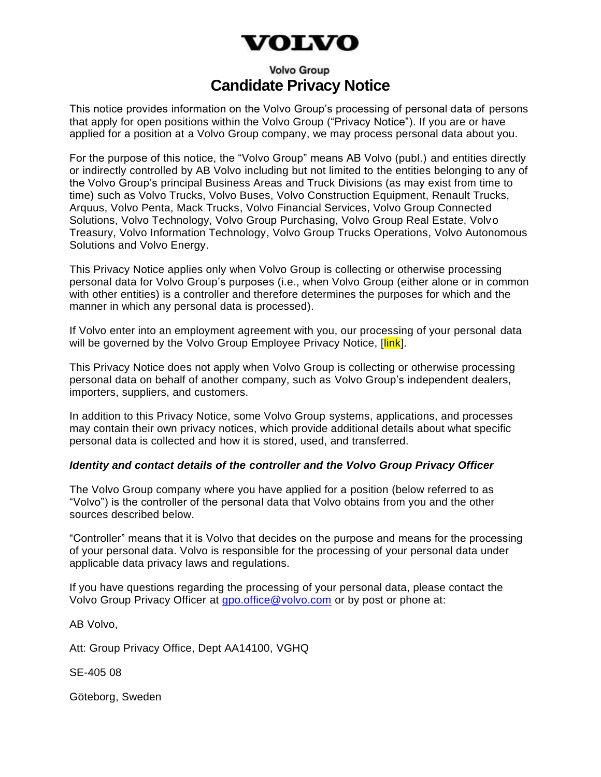# VOLVO

# **Volvo Group Candidate Privacy Notice**

This notice provides information on the Volvo Group's processing of personal data of persons that apply for open positions within the Volvo Group ("Privacy Notice"). If you are or have applied for a position at a Volvo Group company, we may process personal data about you.

For the purpose of this notice, the "Volvo Group" means AB Volvo (publ.) and entities directly or indirectly controlled by AB Volvo including but not limited to the entities belonging to any of the Volvo Group's principal Business Areas and Truck Divisions (as may exist from time to time) such as Volvo Trucks, Volvo Buses, Volvo Construction Equipment, Renault Trucks, Arquus, Volvo Penta, Mack Trucks, Volvo Financial Services, Volvo Group Connected Solutions, Volvo Technology, Volvo Group Purchasing, Volvo Group Real Estate, Volvo Treasury, Volvo Information Technology, Volvo Group Trucks Operations, Volvo Autonomous Solutions and Volvo Energy.

This Privacy Notice applies only when Volvo Group is collecting or otherwise processing personal data for Volvo Group's purposes (i.e., when Volvo Group (either alone or in common with other entities) is a controller and therefore determines the purposes for which and the manner in which any personal data is processed).

If Volvo enter into an employment agreement with you, our processing of your personal data will be governed by the Volvo Group Employee Privacy Notice, [link].

This Privacy Notice does not apply when Volvo Group is collecting or otherwise processing personal data on behalf of another company, such as Volvo Group's independent dealers, importers, suppliers, and customers.

In addition to this Privacy Notice, some Volvo Group systems, applications, and processes may contain their own privacy notices, which provide additional details about what specific personal data is collected and how it is stored, used, and transferred.

# *Identity and contact details of the controller and the Volvo Group Privacy Officer*

The Volvo Group company where you have applied for a position (below referred to as "Volvo") is the controller of the personal data that Volvo obtains from you and the other sources described below.

"Controller" means that it is Volvo that decides on the purpose and means for the processing of your personal data. Volvo is responsible for the processing of your personal data under applicable data privacy laws and regulations.

If you have questions regarding the processing of your personal data, please contact the Volvo Group Privacy Officer at [gpo.office@volvo.com](mailto:gpo.office@volvo.com) or by post or phone at:

AB Volvo,

Att: Group Privacy Office, Dept AA14100, VGHQ

SE-405 08

Göteborg, Sweden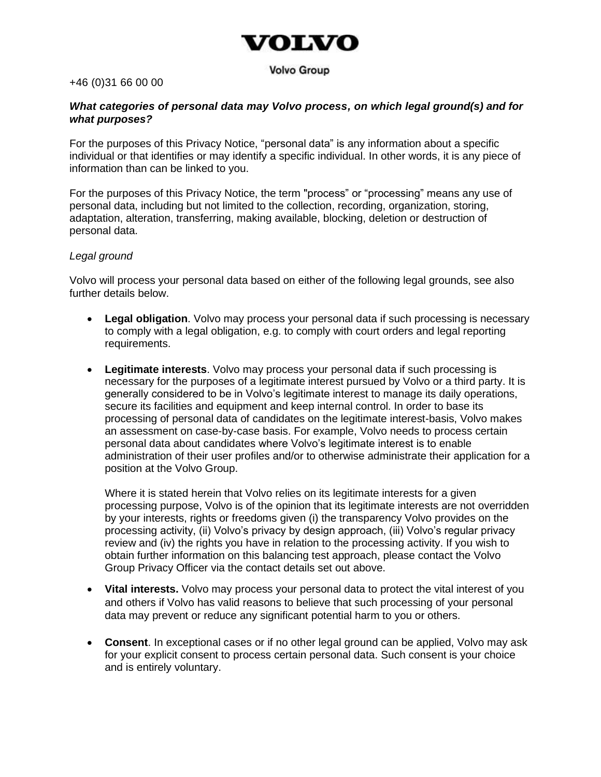# voinvo

#### **Volvo Group**

#### +46 (0)31 66 00 00

#### *What categories of personal data may Volvo process, on which legal ground(s) and for what purposes?*

For the purposes of this Privacy Notice, "personal data" is any information about a specific individual or that identifies or may identify a specific individual. In other words, it is any piece of information than can be linked to you.

For the purposes of this Privacy Notice, the term "process" or "processing" means any use of personal data, including but not limited to the collection, recording, organization, storing, adaptation, alteration, transferring, making available, blocking, deletion or destruction of personal data.

#### *Legal ground*

Volvo will process your personal data based on either of the following legal grounds, see also further details below.

- **Legal obligation**. Volvo may process your personal data if such processing is necessary to comply with a legal obligation, e.g. to comply with court orders and legal reporting requirements.
- **Legitimate interests**. Volvo may process your personal data if such processing is necessary for the purposes of a legitimate interest pursued by Volvo or a third party. It is generally considered to be in Volvo's legitimate interest to manage its daily operations, secure its facilities and equipment and keep internal control. In order to base its processing of personal data of candidates on the legitimate interest-basis, Volvo makes an assessment on case-by-case basis. For example, Volvo needs to process certain personal data about candidates where Volvo's legitimate interest is to enable administration of their user profiles and/or to otherwise administrate their application for a position at the Volvo Group.

Where it is stated herein that Volvo relies on its legitimate interests for a given processing purpose, Volvo is of the opinion that its legitimate interests are not overridden by your interests, rights or freedoms given (i) the transparency Volvo provides on the processing activity, (ii) Volvo's privacy by design approach, (iii) Volvo's regular privacy review and (iv) the rights you have in relation to the processing activity. If you wish to obtain further information on this balancing test approach, please contact the Volvo Group Privacy Officer via the contact details set out above.

- **Vital interests.** Volvo may process your personal data to protect the vital interest of you and others if Volvo has valid reasons to believe that such processing of your personal data may prevent or reduce any significant potential harm to you or others.
- **Consent**. In exceptional cases or if no other legal ground can be applied, Volvo may ask for your explicit consent to process certain personal data. Such consent is your choice and is entirely voluntary.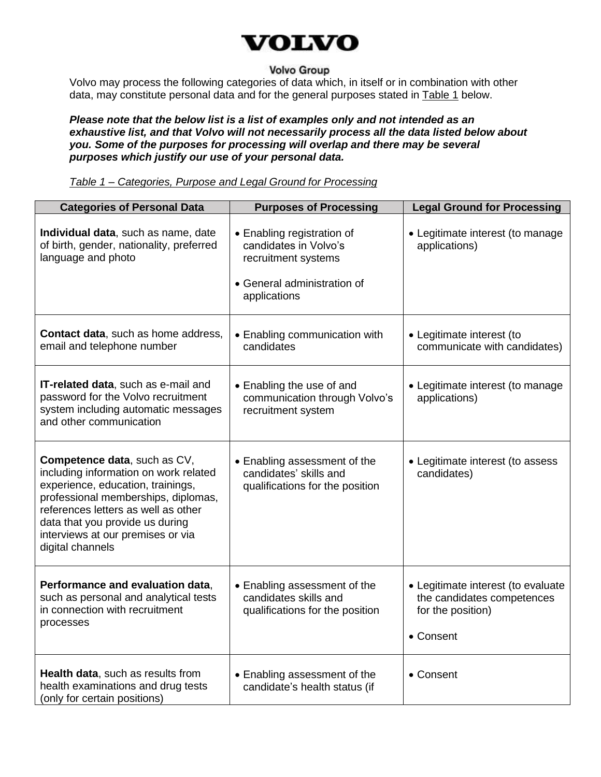

# **Volvo Group**

Volvo may process the following categories of data which, in itself or in combination with other data, may constitute personal data and for the general purposes stated in **Table 1** below.

*Please note that the below list is a list of examples only and not intended as an exhaustive list, and that Volvo will not necessarily process all the data listed below about you. Some of the purposes for processing will overlap and there may be several purposes which justify our use of your personal data.*

*Table 1 – Categories, Purpose and Legal Ground for Processing*

| <b>Categories of Personal Data</b>                                                                                                                                                                                                                                                   | <b>Purposes of Processing</b>                                                                                             | <b>Legal Ground for Processing</b>                                                                 |
|--------------------------------------------------------------------------------------------------------------------------------------------------------------------------------------------------------------------------------------------------------------------------------------|---------------------------------------------------------------------------------------------------------------------------|----------------------------------------------------------------------------------------------------|
| Individual data, such as name, date<br>of birth, gender, nationality, preferred<br>language and photo                                                                                                                                                                                | • Enabling registration of<br>candidates in Volvo's<br>recruitment systems<br>• General administration of<br>applications | • Legitimate interest (to manage<br>applications)                                                  |
| <b>Contact data, such as home address,</b><br>email and telephone number                                                                                                                                                                                                             | • Enabling communication with<br>candidates                                                                               | • Legitimate interest (to<br>communicate with candidates)                                          |
| IT-related data, such as e-mail and<br>password for the Volvo recruitment<br>system including automatic messages<br>and other communication                                                                                                                                          | • Enabling the use of and<br>communication through Volvo's<br>recruitment system                                          | • Legitimate interest (to manage<br>applications)                                                  |
| Competence data, such as CV,<br>including information on work related<br>experience, education, trainings,<br>professional memberships, diplomas,<br>references letters as well as other<br>data that you provide us during<br>interviews at our premises or via<br>digital channels | • Enabling assessment of the<br>candidates' skills and<br>qualifications for the position                                 | • Legitimate interest (to assess<br>candidates)                                                    |
| Performance and evaluation data,<br>such as personal and analytical tests<br>in connection with recruitment<br>processes                                                                                                                                                             | • Enabling assessment of the<br>candidates skills and<br>qualifications for the position                                  | • Legitimate interest (to evaluate<br>the candidates competences<br>for the position)<br>• Consent |
| Health data, such as results from<br>health examinations and drug tests<br>(only for certain positions)                                                                                                                                                                              | • Enabling assessment of the<br>candidate's health status (if                                                             | • Consent                                                                                          |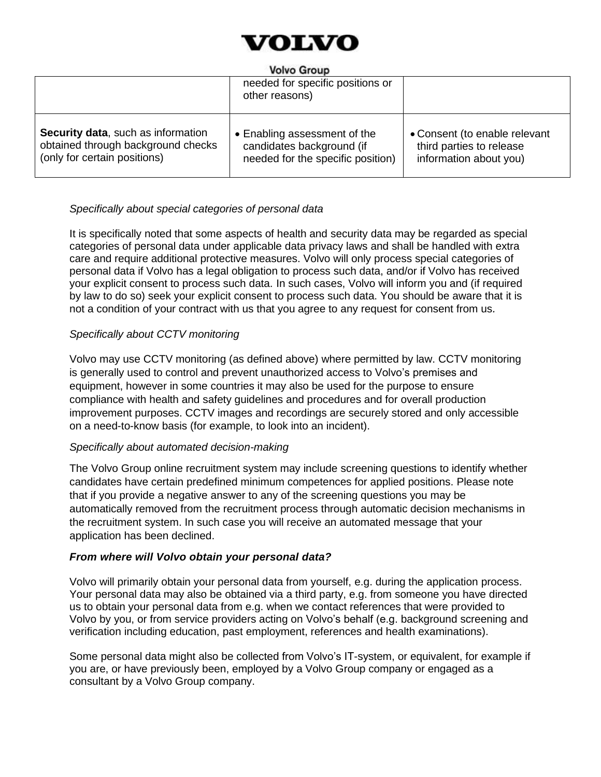

#### **Volvo Group**

| $\sim\!\sim\!$                                                                                           |                                                                                                |                                                                                     |  |
|----------------------------------------------------------------------------------------------------------|------------------------------------------------------------------------------------------------|-------------------------------------------------------------------------------------|--|
|                                                                                                          | needed for specific positions or<br>other reasons)                                             |                                                                                     |  |
| Security data, such as information<br>obtained through background checks<br>(only for certain positions) | • Enabling assessment of the<br>candidates background (if<br>needed for the specific position) | • Consent (to enable relevant<br>third parties to release<br>information about you) |  |

# *Specifically about special categories of personal data*

It is specifically noted that some aspects of health and security data may be regarded as special categories of personal data under applicable data privacy laws and shall be handled with extra care and require additional protective measures. Volvo will only process special categories of personal data if Volvo has a legal obligation to process such data, and/or if Volvo has received your explicit consent to process such data. In such cases, Volvo will inform you and (if required by law to do so) seek your explicit consent to process such data. You should be aware that it is not a condition of your contract with us that you agree to any request for consent from us*.*

# *Specifically about CCTV monitoring*

Volvo may use CCTV monitoring (as defined above) where permitted by law. CCTV monitoring is generally used to control and prevent unauthorized access to Volvo's premises and equipment, however in some countries it may also be used for the purpose to ensure compliance with health and safety guidelines and procedures and for overall production improvement purposes. CCTV images and recordings are securely stored and only accessible on a need-to-know basis (for example, to look into an incident).

#### *Specifically about automated decision-making*

The Volvo Group online recruitment system may include screening questions to identify whether candidates have certain predefined minimum competences for applied positions. Please note that if you provide a negative answer to any of the screening questions you may be automatically removed from the recruitment process through automatic decision mechanisms in the recruitment system. In such case you will receive an automated message that your application has been declined.

#### *From where will Volvo obtain your personal data?*

Volvo will primarily obtain your personal data from yourself, e.g. during the application process. Your personal data may also be obtained via a third party, e.g. from someone you have directed us to obtain your personal data from e.g. when we contact references that were provided to Volvo by you, or from service providers acting on Volvo's behalf (e.g. background screening and verification including education, past employment, references and health examinations).

Some personal data might also be collected from Volvo's IT-system, or equivalent, for example if you are, or have previously been, employed by a Volvo Group company or engaged as a consultant by a Volvo Group company.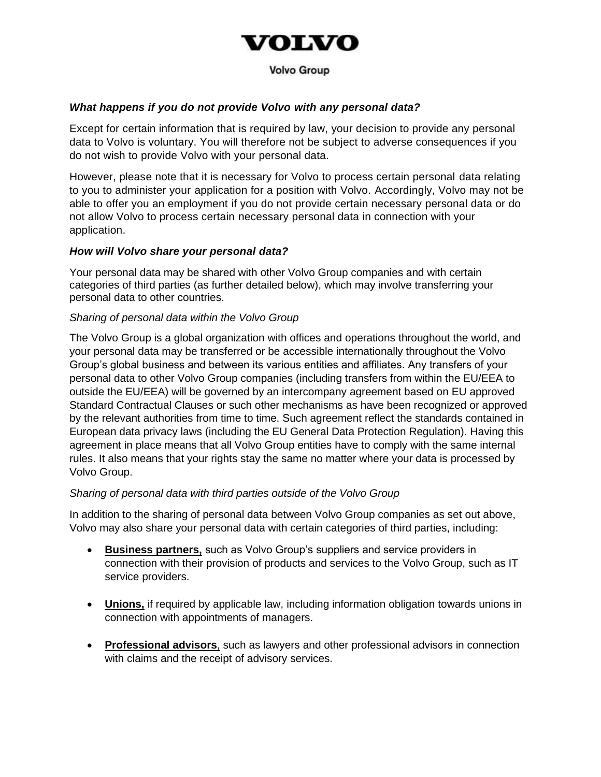

**Volvo Group** 

# *What happens if you do not provide Volvo with any personal data?*

Except for certain information that is required by law, your decision to provide any personal data to Volvo is voluntary. You will therefore not be subject to adverse consequences if you do not wish to provide Volvo with your personal data.

However, please note that it is necessary for Volvo to process certain personal data relating to you to administer your application for a position with Volvo. Accordingly, Volvo may not be able to offer you an employment if you do not provide certain necessary personal data or do not allow Volvo to process certain necessary personal data in connection with your application.

#### *How will Volvo share your personal data?*

Your personal data may be shared with other Volvo Group companies and with certain categories of third parties (as further detailed below), which may involve transferring your personal data to other countries.

#### *Sharing of personal data within the Volvo Group*

The Volvo Group is a global organization with offices and operations throughout the world, and your personal data may be transferred or be accessible internationally throughout the Volvo Group's global business and between its various entities and affiliates. Any transfers of your personal data to other Volvo Group companies (including transfers from within the EU/EEA to outside the EU/EEA) will be governed by an intercompany agreement based on EU approved Standard Contractual Clauses or such other mechanisms as have been recognized or approved by the relevant authorities from time to time. Such agreement reflect the standards contained in European data privacy laws (including the EU General Data Protection Regulation). Having this agreement in place means that all Volvo Group entities have to comply with the same internal rules. It also means that your rights stay the same no matter where your data is processed by Volvo Group.

#### *Sharing of personal data with third parties outside of the Volvo Group*

In addition to the sharing of personal data between Volvo Group companies as set out above, Volvo may also share your personal data with certain categories of third parties, including:

- **Business partners,** such as Volvo Group's suppliers and service providers in connection with their provision of products and services to the Volvo Group, such as IT service providers.
- **Unions,** if required by applicable law, including information obligation towards unions in connection with appointments of managers.
- **Professional advisors**, such as lawyers and other professional advisors in connection with claims and the receipt of advisory services.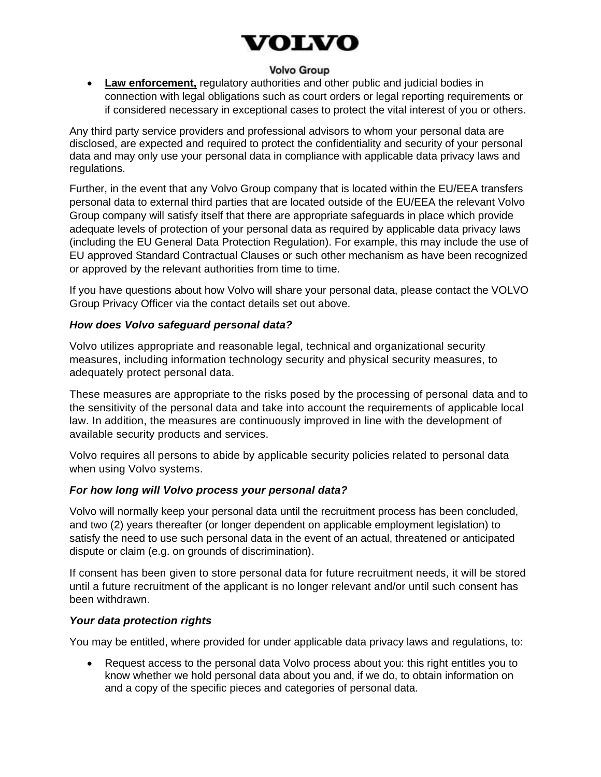# VOLVO

# **Volvo Group**

• **Law enforcement,** regulatory authorities and other public and judicial bodies in connection with legal obligations such as court orders or legal reporting requirements or if considered necessary in exceptional cases to protect the vital interest of you or others.

Any third party service providers and professional advisors to whom your personal data are disclosed, are expected and required to protect the confidentiality and security of your personal data and may only use your personal data in compliance with applicable data privacy laws and regulations.

Further, in the event that any Volvo Group company that is located within the EU/EEA transfers personal data to external third parties that are located outside of the EU/EEA the relevant Volvo Group company will satisfy itself that there are appropriate safeguards in place which provide adequate levels of protection of your personal data as required by applicable data privacy laws (including the EU General Data Protection Regulation). For example, this may include the use of EU approved Standard Contractual Clauses or such other mechanism as have been recognized or approved by the relevant authorities from time to time.

If you have questions about how Volvo will share your personal data, please contact the VOLVO Group Privacy Officer via the contact details set out above.

#### *How does Volvo safeguard personal data?*

Volvo utilizes appropriate and reasonable legal, technical and organizational security measures, including information technology security and physical security measures, to adequately protect personal data.

These measures are appropriate to the risks posed by the processing of personal data and to the sensitivity of the personal data and take into account the requirements of applicable local law. In addition, the measures are continuously improved in line with the development of available security products and services.

Volvo requires all persons to abide by applicable security policies related to personal data when using Volvo systems.

# *For how long will Volvo process your personal data?*

Volvo will normally keep your personal data until the recruitment process has been concluded, and two (2) years thereafter (or longer dependent on applicable employment legislation) to satisfy the need to use such personal data in the event of an actual, threatened or anticipated dispute or claim (e.g. on grounds of discrimination).

If consent has been given to store personal data for future recruitment needs, it will be stored until a future recruitment of the applicant is no longer relevant and/or until such consent has been withdrawn.

# *Your data protection rights*

You may be entitled, where provided for under applicable data privacy laws and regulations, to:

• Request access to the personal data Volvo process about you: this right entitles you to know whether we hold personal data about you and, if we do, to obtain information on and a copy of the specific pieces and categories of personal data.